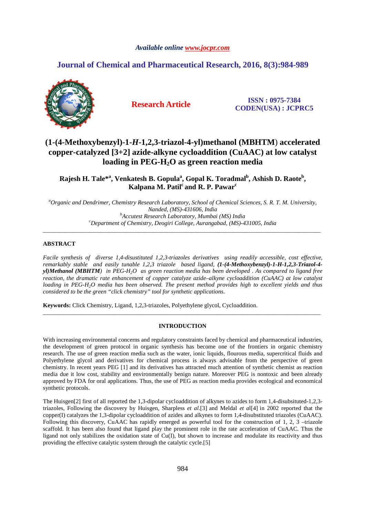### *Available online www.jocpr.com*

# **Journal of Chemical and Pharmaceutical Research, 2016, 8(3):984-989**



**Research Article ISSN : 0975-7384 CODEN(USA) : JCPRC5**

# **(1-(4-Methoxybenzyl)-1-***H***-1,2,3-triazol-4-yl)methanol (MBHTM**) **accelerated copper-catalyzed [3+2] azide-alkyne cycloaddition (CuAAC) at low catalyst loading in PEG-H2O as green reaction media**

**Rajesh H. Tale\*<sup>a</sup> , Venkatesh B. Gopula<sup>a</sup> , Gopal K. Toradmal<sup>b</sup> , Ashish D. Raote<sup>b</sup> , Kalpana M. Patil<sup>c</sup>and R. P. Pawar<sup>c</sup>**

*<sup>a</sup>Organic and Dendrimer, Chemistry Research Laboratory, School of Chemical Sciences, S. R. T. M. University, Nanded, (MS)-431606, India <sup>b</sup>Accutest Research Laboratory, Mumbai (MS) India <sup>c</sup>Department of Chemistry, Deogiri College, Aurangabad, (MS)-431005, India* 

\_\_\_\_\_\_\_\_\_\_\_\_\_\_\_\_\_\_\_\_\_\_\_\_\_\_\_\_\_\_\_\_\_\_\_\_\_\_\_\_\_\_\_\_\_\_\_\_\_\_\_\_\_\_\_\_\_\_\_\_\_\_\_\_\_\_\_\_\_\_\_\_\_\_\_\_\_\_\_\_\_\_\_\_\_\_\_\_\_\_\_\_\_

### **ABSTRACT**

*Facile synthesis of diverse 1,4-disustituted 1,2,3-triazoles derivatives using readily accessible, cost effective, remarkably stable and easily tunable 1,2,3 triazole based ligand, (1-(4-Methoxybenzyl)-1-H-1,2,3-Triazol-4 yl)Methanol (MBHTM) in PEG-H2O as green reaction media has been developed . As compared to ligand free reaction, the dramatic rate enhancement of copper catalyze azide–alkyne cycloaddition (CuAAC) at low catalyst loading in PEG-H2O media has been observed. The present method provides high to excellent yields and thus considered to be the green "click chemistry" tool for synthetic applications.* 

**Keywords:** Click Chemistry, Ligand, 1,2,3-triazoles, Polyethylene glycol, Cycloaddition.

### **INTRODUCTION**

\_\_\_\_\_\_\_\_\_\_\_\_\_\_\_\_\_\_\_\_\_\_\_\_\_\_\_\_\_\_\_\_\_\_\_\_\_\_\_\_\_\_\_\_\_\_\_\_\_\_\_\_\_\_\_\_\_\_\_\_\_\_\_\_\_\_\_\_\_\_\_\_\_\_\_\_\_\_\_\_\_\_\_\_\_\_\_\_\_\_\_\_\_

With increasing environmental concerns and regulatory constraints faced by chemical and pharmaceutical industries, the development of green protocol in organic synthesis has become one of the frontiers in organic chemistry research. The use of green reaction media such as the water, ionic liquids, flourous media, supercritical fluids and Polyethylene glycol and derivatives for chemical process is always advisable from the perspective of green chemistry. In recent years PEG [1] and its derivatives has attracted much attention of synthetic chemist as reaction media due it low cost, stability and environmentally benign nature. Moreover PEG is nontoxic and been already approved by FDA for oral applications. Thus, the use of PEG as reaction media provides ecological and economical synthetic protocols.

The Huisgen[2] first of all reported the 1,3-dipolar cycloaddition of alkynes to azides to form 1,4-disubsituted-1,2,3 triazoles, Following the discovery by Huisgen, Sharpless *et al*.[3] and Meldal *et a*l[4] in 2002 reported that the copper(I) catalyzes the 1,3-dipolar cycloaddition of azides and alkynes to form 1,4-disubstituted triazoles (CuAAC). Following this discovery, CuAAC has rapidly emerged as powerful tool for the construction of 1, 2, 3 –triazole scaffold. It has been also found that ligand play the prominent role in the rate acceleration of CuAAC. Thus the ligand not only stabilizes the oxidation state of Cu(I), but shown to increase and modulate its reactivity and thus providing the effective catalytic system through the catalytic cycle.[5]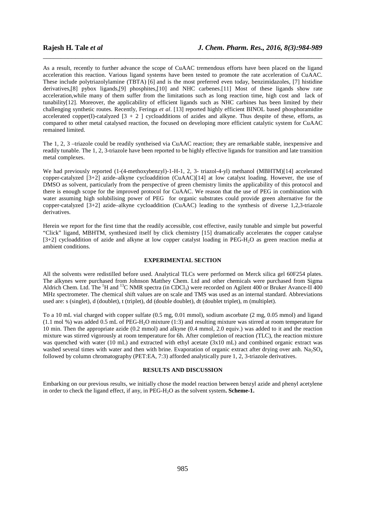As a result, recently to further advance the scope of CuAAC tremendous efforts have been placed on the ligand acceleration this reaction. Various ligand systems have been tested to promote the rate acceleration of CuAAC. These include polytriazolylamine (TBTA) [6] and is the most preferred even today, benzimidazoles, [7] histidine derivatives,[8] pybox ligands,[9] phosphites,[10] and NHC carbenes.[11] Most of these ligands show rate acceleration,while many of them suffer from the limitations such as long reaction time, high cost and lack of tunability[12]. Moreover, the applicability of efficient ligands such as NHC carbines has been limited by their challenging synthetic routes. Recently, Feringa *et al*. [13] reported highly efficient BINOL based phosphoramidite accelerated copper(I)-catalyzed  $[3 + 2]$  cycloadditions of azides and alkyne. Thus despite of these, efforts, as compared to other metal catalysed reaction, the focused on developing more efficient catalytic system for CuAAC remained limited.

\_\_\_\_\_\_\_\_\_\_\_\_\_\_\_\_\_\_\_\_\_\_\_\_\_\_\_\_\_\_\_\_\_\_\_\_\_\_\_\_\_\_\_\_\_\_\_\_\_\_\_\_\_\_\_\_\_\_\_\_\_\_\_\_\_\_\_\_\_\_\_\_\_\_\_\_\_\_

The 1, 2, 3 –triazole could be readily syntheised via CuAAC reaction; they are remarkable stable, inexpensive and readily tunable. The 1, 2, 3-triazole have been reported to be highly effective ligands for transition and late transition metal complexes.

We had previously reported (1-(4-methoxybenzyl)-1-H-1, 2, 3- triazol-4-yl) methanol (MBHTM)[14] accelerated copper-catalyzed  $[3+2]$  azide–alkyne cycloaddition (CuAAC)[14] at low catalyst loading. However, the use of DMSO as solvent, particularly from the perspective of green chemistry limits the applicability of this protocol and there is enough scope for the improved protocol for CuAAC. We reason that the use of PEG in combination with water assuming high solubilising power of PEG for organic substrates could provide green alternative for the copper-catalyzed [3+2] azide–alkyne cycloaddition (CuAAC) leading to the synthesis of diverse 1,2,3-triazole derivatives.

Herein we report for the first time that the readily accessible, cost effective, easily tunable and simple but powerful "Click" ligand, MBHTM, synthesized itself by click chemistry [15] dramatically accelerates the copper catalyse [3+2] cycloaddition of azide and alkyne at low copper catalyst loading in PEG-H2O as green reaction media at ambient conditions.

### **EXPERIMENTAL SECTION**

All the solvents were redistilled before used. Analytical TLCs were performed on Merck silica gel 60F254 plates. The alkynes were purchased from Johnson Matthey Chem. Ltd and other chemicals were purchased from Sigma Aldrich Chem. Ltd. The  ${}^{1}H$  and  ${}^{13}C$  NMR spectra (in CDCl<sub>3</sub>) were recorded on Agilent 400 or Bruker Avance-II 400 MHz spectrometer. The chemical shift values are on scale and TMS was used as an internal standard. Abbreviations used are: s (singlet), d (doublet), t (triplet), dd (double doublet), dt (doublet triplet), m (multiplet).

To a 10 mL vial charged with copper sulfate (0.5 mg, 0.01 mmol), sodium ascorbate (2 mg, 0.05 mmol) and ligand (1.1 mol %) was added 0.5 mL of PEG-H2O mixture (1:3) and resulting mixture was stirred at room temperature for 10 min. Then the appropriate azide (0.2 mmol) and alkyne (0.4 mmol, 2.0 equiv.) was added to it and the reaction mixture was stirred vigorously at room temperature for 6h. After completion of reaction (TLC), the reaction mixture was quenched with water (10 mL) and extracted with ethyl acetate (3x10 mL) and combined organic extract was washed several times with water and then with brine. Evaporation of organic extract after drying over anh. Na<sub>2</sub>SO<sub>4</sub> followed by column chromatography (PET:EA, 7:3) afforded analytically pure 1, 2, 3-triazole derivatives.

#### **RESULTS AND DISCUSSION**

Embarking on our previous results, we initially chose the model reaction between benzyl azide and phenyl acetylene in order to check the ligand effect, if any, in PEG-H<sub>2</sub>O as the solvent system. **Scheme-1.**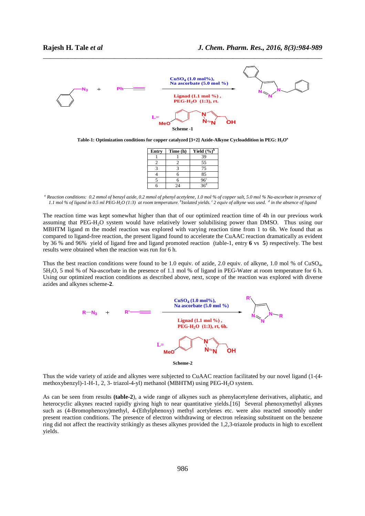

**Table-1: Optimization conditions for copper catalyzed [3+2] Azide-Alkyne Cycloaddition in PEG: H2O a** 

| <b>Entry</b> | Time (h) | Yield $(\frac{6}{6})^b$ |
|--------------|----------|-------------------------|
|              |          | 39                      |
|              |          | 55                      |
|              |          | 75                      |
|              |          | 85                      |
|              |          | 96 <sup>c</sup>         |
|              | 24       | $36^d$                  |

<sup>&</sup>lt;sup>a</sup> Reaction conditions: 0.2 mmol of benzyl azide, 0.2 mmol of phenyl acetylene, 1.0 mol % of copper salt, 5.0 mol % Na-ascorbate in presence of *1.1 mol % of ligand in 0.5 ml PEG-H2O (1:3) at room temperature. <sup>b</sup> Isolated yields. <sup>c</sup>2 equiv of alkyne was used. <sup>d</sup> in the absence of ligand* 

The reaction time was kept somewhat higher than that of our optimized reaction time of 4h in our previous work assuming that PEG-H2O system would have relatively lower solubilising power than DMSO. Thus using our MBHTM ligand m the model reaction was explored with varying reaction time from 1 to 6h. We found that as compared to ligand-free reaction, the present ligand found to accelerate the CuAAC reaction dramatically as evident by 36 % and 96% yield of ligand free and ligand promoted reaction (table-1, entry **6** vs **5**) respectively. The best results were obtained when the reaction was run for 6 h.

Thus the best reaction conditions were found to be 1.0 equiv. of azide, 2.0 equiv. of alkyne, 1.0 mol % of CuSO4, 5H2O, 5 mol % of Na-ascorbate in the presence of 1.1 mol % of ligand in PEG-Water at room temperature for 6 h. Using our optimized reaction conditions as described above, next, scope of the reaction was explored with diverse azides and alkynes scheme-**2**.



Thus the wide variety of azide and alkynes were subjected to CuAAC reaction facilitated by our novel ligand (1-(4 methoxybenzyl)-1-H-1, 2, 3- triazol-4-yl) methanol (MBHTM) using PEG-H2O system.

As can be seen from results **(table-2**), a wide range of alkynes such as phenylacetylene derivatives, aliphatic, and heterocyclic alkynes reacted rapidly giving high to near quantitative yields.[16] Several phenoxymethyl alkynes such as (4-Bromophenoxy)methyl, 4-(Ethylphenoxy) methyl acetylenes etc. were also reacted smoothly under present reaction conditions. The presence of electron withdrawing or electron releasing substituent on the benzene ring did not affect the reactivity strikingly as theses alkynes provided the 1,2,3-triazole products in high to excellent yields.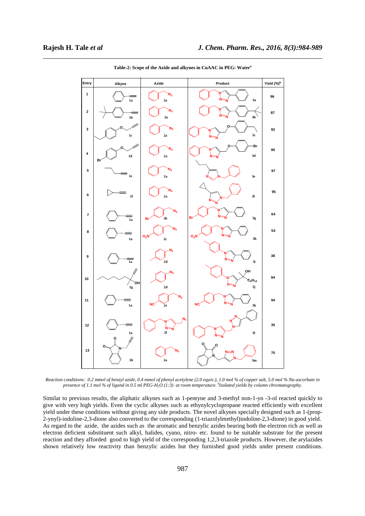

\_\_\_\_\_\_\_\_\_\_\_\_\_\_\_\_\_\_\_\_\_\_\_\_\_\_\_\_\_\_\_\_\_\_\_\_\_\_\_\_\_\_\_\_\_\_\_\_\_\_\_\_\_\_\_\_\_\_\_\_\_\_\_\_\_\_\_\_\_\_\_\_\_\_\_\_\_\_ **Table-2: Scope of the Azide and alkynes in CuAAC in PEG: Water<sup>a</sup>**

*Reaction conditions: 0.2 mmol of benzyl azide, 0.4 mmol of phenyl acetylene (2.0 equiv.), 1.0 mol % of copper salt, 5.0 mol % Na-ascorbate in presence of 1.1 mol % of ligand in 0.5 ml PEG-H2O (1:3) at room temperature. <sup>b</sup> Isolated yields by column chromatography.* 

Similar to previous results, the aliphatic alkynes such as 1-pentyne and 3-methyl non-1-yn -3-ol reacted quickly to give with very high yields. Even the cyclic alkynes such as ethynylcyclopropane reacted efficiently with excellent yield under these conditions without giving any side products. The novel alkynes specially designed such as 1-(prop-2-ynyl)-indoline-2,3-dione also converted to the corresponding (1-triazolylmethyl)indoline-2,3-dione) in good yield. As regard to the azide, the azides such as the aromatic and benzylic azides bearing both the electron rich as well as electron deficient substituent such alkyl, halides, cyano, nitro- etc. found to be suitable substrate for the present reaction and they afforded good to high yield of the corresponding 1,2,3-triazole products. However, the arylazides shown relatively low reactivity than benzylic azides but they furnished good yields under present conditions.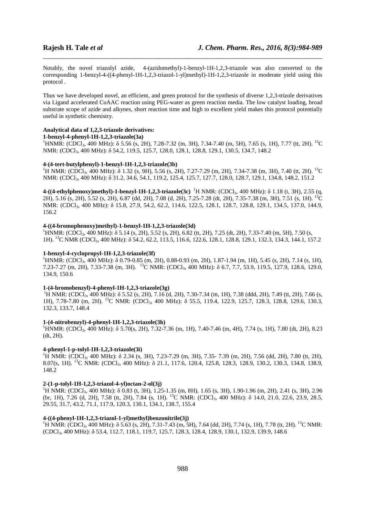Notably, the novel triazolyl azide, 4-(azidomethyl)-1-benzyl-1H-1,2,3-triazole was also converted to the corresponding 1-benzyl-4-((4-phenyl-1H-1,2,3-triazol-1-yl)methyl)-1H-1,2,3-triazole in moderate yield using this protocol .

\_\_\_\_\_\_\_\_\_\_\_\_\_\_\_\_\_\_\_\_\_\_\_\_\_\_\_\_\_\_\_\_\_\_\_\_\_\_\_\_\_\_\_\_\_\_\_\_\_\_\_\_\_\_\_\_\_\_\_\_\_\_\_\_\_\_\_\_\_\_\_\_\_\_\_\_\_\_

Thus we have developed novel, an efficient, and green protocol for the synthesis of diverse 1,2,3-trizole derivatives via Ligand accelerated CuAAC reaction using PEG-water as green reaction media. The low catalyst loading, broad substrate scope of azide and alkynes, short reaction time and high to excellent yield makes this protocol potentially useful in synthetic chemistry.

### **Analytical data of 1,2,3-triazole derivatives:**

### **1-benzyl-4-phenyl-1H-1,2,3-triazole(3a)**

 $1_H$ HNMR: (CDCl<sub>3</sub>, 400 MHz): δ 5.56 (s, 2H), 7.28-7.32 (m, 3H), 7.34-7.40 (m, 5H), 7.65 (s, 1H), 7.77 (tt, 2H). <sup>13</sup>C NMR: (CDCl<sub>3</sub>, 400 MHz): δ 54.2, 119.5, 125.7, 128.0, 128.1, 128.8, 129.1, 130.5, 134.7, 148.2

#### **4-(4-tert-butylphenyl)-1-benzyl-1H-1,2,3-triazole(3b)**

<sup>1</sup>H NMR: (CDCl<sub>3</sub>, 400 MHz): δ 1.32 (s, 9H), 5.56 (s, 2H), 7.27-7.29 (m, 2H), 7.34-7.38 (m, 3H), 7.40 (tt, 2H). <sup>13</sup>C NMR: (CDCl<sub>3</sub>, 400 MHz): δ 31.2, 34.6, 54.1, 119.2, 125.4, 125.7, 127.7, 128.0, 128.7, 129.1, 134.8, 148.2, 151.2

**4-((4-ethylphenoxy)methyl)-1-benzyl-1H-1,2,3-triazole(3c)** <sup>1</sup>H NMR: (CDCl3, 400 MHz): δ 1.18 (t, 3H), 2.55 (q, 2H), 5.16 (s, 2H), 5.52 (s, 2H), 6.87 (dd, 2H), 7.08 (d, 2H), 7.25-7.28 (dt, 2H), 7.35-7.38 (m, 3H), 7.51 (s, 1H). <sup>13</sup>C NMR: (CDCl3, 400 MHz): δ 15.8, 27.9, 54.2, 62.2, 114.6, 122.5, 128.1, 128.7, 128.8, 129.1, 134.5, 137.0, 144.9, 156.2

# **4-((4-bromophenoxy)methyl)-1-benzyl-1H-1,2,3-triazole(3d)**

<sup>1</sup>HNMR: (CDCl<sub>3</sub>, 400 MHz): δ 5.14 (s, 2H), 5.52 (s, 2H), 6.82 (tt, 2H), 7.25 (dt, 2H), 7.33-7.40 (m, 5H), 7.50 (s, 1H). <sup>13</sup>C NMR (CDCl3, 400 MHz): δ 54.2, 62.2, 113.5, 116.6, 122.6, 128.1, 128.8, 129.1, 132.3, 134.3, 144.1, 157.2

# **1-benzyl-4-cyclopropyl-1H-1,2,3-triazole(3f)**

<sup>1</sup>HNMR: (CDCl<sub>3</sub>, 400 MHz): δ 0.79-0.85 (m, 2H), 0.88-0.93 (m, 2H), 1.87-1.94 (m, 1H), 5.45 (s, 2H), 7.14 (s, 1H), 7.23-7.27 (m, 2H), 7.33-7.38 (m, 3H). <sup>13</sup>C NMR: (CDCl3, 400 MHz): δ 6.7, 7.7, 53.9, 119.5, 127.9, 128.6, 129.0, 134.9, 150.6

# **1-(4-bromobenzyl)-4-phenyl-1H-1,2,3-triazole(3g)**

<sup>1</sup>H NMR: (CDCl<sub>3</sub>, 400 MHz): δ 5.52 (s, 2H), 7.16 (d, 2H), 7.30-7.34 (m, 1H), 7.38 (ddd, 2H), 7.49 (tt, 2H), 7.66 (s, 1H), 7.78-7.80 (m, 2H). <sup>13</sup>C NMR: (CDCl<sub>3</sub>, 400 MHz): δ 55.5, 119.4, 122.9, 125.7, 128.3, 128.8, 129.6, 130.3, 132.3, 133.7, 148.4

#### **1-(4-nitrobenzyl)-4-phenyl-1H-1,2,3-triazole(3h)**

<sup>1</sup>HNMR: (CDCl<sub>3</sub>, 400 MHz): δ 5.70(s, 2H), 7.32-7.36 (m, 1H), 7.40-7.46 (m, 4H), 7.74 (s, 1H), 7.80 (dt, 2H), 8.23 (dt, 2H).

#### **4-phenyl-1-p-tolyl-1H-1,2,3-triazole(3i)**

<sup>1</sup>H NMR: (CDCl<sub>3</sub>, 400 MHz): δ 2.34 (s, 3H), 7.23-7.29 (m, 3H), 7.35- 7.39 (m, 2H), 7.56 (dd, 2H), 7.80 (tt, 2H), 8.07(s, 1H). <sup>13</sup>C NMR: (CDCl3, 400 MHz): δ 21.1, 117.6, 120.4, 125.8, 128.3, 128.9, 130.2, 130.3, 134.8, 138.9, 148.2

#### **2-(1-p-tolyl-1H-1,2,3-triazol-4-yl)octan-2-ol(3j)**

<sup>1</sup>H NMR: (CDCl<sub>3</sub>, 400 MHz): δ 0.83 (t, 3H), 1.25-1.35 (m, 8H), 1.65 (s, 3H), 1.90-1.96 (m, 2H), 2.41 (s, 3H), 2.96 (br, 1H), 7.26 (d, 2H), 7.58 (tt, 2H), 7.84 (s, 1H). <sup>13</sup>C NMR: (CDCl<sub>3</sub>, 400 MHz): δ 14.0, 21.0, 22.6, 23.9, 28.5, 29.55, 31.7, 43.2, 71.1, 117.9, 120.3, 130.1, 134.1, 138.7, 155.4

### **4-((4-phenyl-1H-1,2,3-triazol-1-yl)methyl)benzonitrile(3j)**

<sup>1</sup>H NMR: (CDCl<sub>3</sub>, 400 MHz):  $\delta$  5.63 (s, 2H), 7.31-7.43 (m, 5H), 7.64 (dd, 2H), 7.74 (s, 1H), 7.78 (tt, 2H). <sup>13</sup>C NMR: (CDCl3, 400 MHz): δ 53.4, 112.7, 118.1, 119.7, 125.7, 128.3, 128.4, 128.9, 130.1, 132.9, 139.9, 148.6